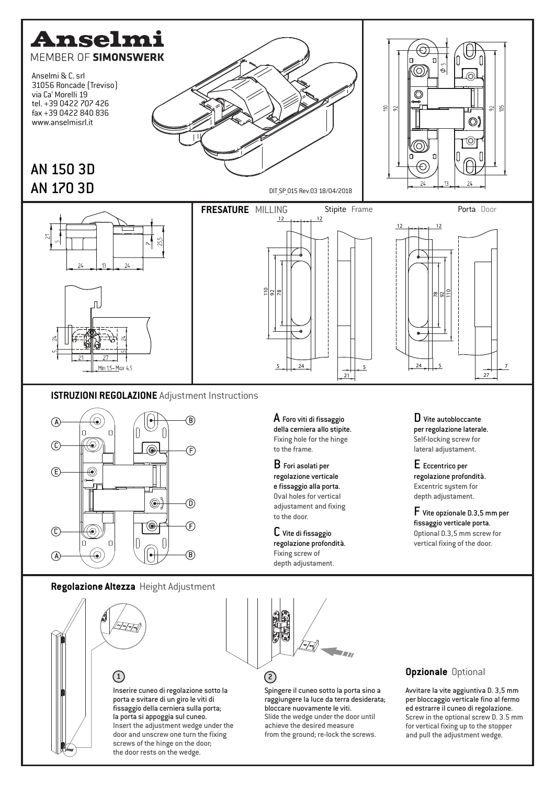



 $\bm{\mathsf{A}}$  Foro viti di fissaggio della cerniera allo stipite. Fixing hole for the hinge to the frame.

B Fori asolati per regolazione verticale e fissaggio alla porta. Oval holes for vertical adjustament and fixing to the door.

C Vite di fissaggio regolazione profondità. Fixing screw of depth adjustament.

D Vite autobloccante per regolazione laterale. Self-locking screw for lateral adjustament.

E Eccentrico per regolazione profondità. Excentric system for depth adjustament.

F Vite opzionale D.3,5 mm per fissaggio verticale porta. Optional D.3,5 mm screw for vertical fixing of the door.

**Regolazione Altezza** Height Adjustment





Spingere il cuneo sotto la porta sino a raggiungere la luce da terra desiderata; bloccare nuovamente le viti. Slide the wedge under the door until achieve the desired measure from the ground; re-lock the screws.

## **Opzionale** Optional

Avvitare la vite aggiuntiva D. 3,5 mm per bloccaggio verticale fino al fermo ed estrarre il cuneo di regolazione. Screw in the optional screw D. 3.5 mm for vertical fixing up to the stopper and pull the adjustment wedge.

Inserire cuneo di regolazione sotto la porta e svitare di un giro le viti di fissaggio della cerniera sulla porta; la porta si appoggia sul cuneo. Insert the adjustment wedge under the door and unscrew one turn the fixing screws of the hinge on the door; the door rests on the wedge.